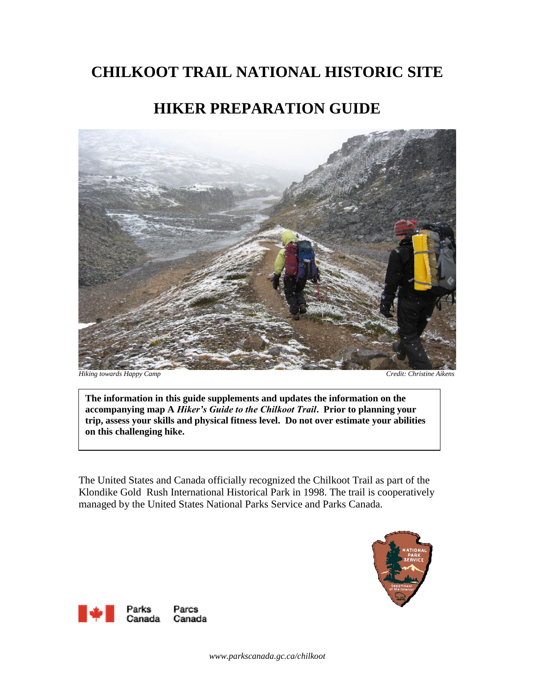# **CHILKOOT TRAIL NATIONAL HISTORIC SITE**

# **HIKER PREPARATION GUIDE**



*Hiking towards Happy Camp Credit: Christine Aikens*

**The information in this guide supplements and updates the information on the accompanying map A** *Hiker's Guide to the Chilkoot Trail***. Prior to planning your trip, assess your skills and physical fitness level. Do not over estimate your abilities on this challenging hike.**

The United States and Canada officially recognized the Chilkoot Trail as part of the Klondike Gold Rush International Historical Park in 1998. The trail is cooperatively managed by the United States National Parks Service and Parks Canada.



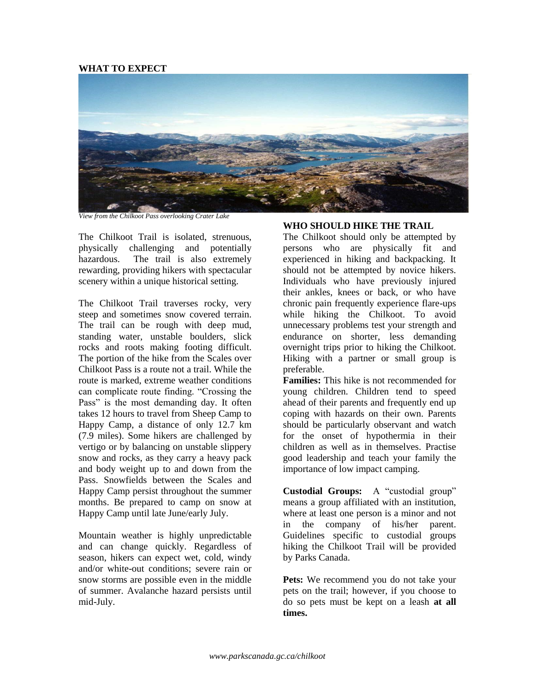# **WHAT TO EXPECT**



*View from the Chilkoot Pass overlooking Crater Lake*

The Chilkoot Trail is isolated, strenuous, physically challenging and potentially hazardous. The trail is also extremely rewarding, providing hikers with spectacular scenery within a unique historical setting.

The Chilkoot Trail traverses rocky, very steep and sometimes snow covered terrain. The trail can be rough with deep mud, standing water, unstable boulders, slick rocks and roots making footing difficult. The portion of the hike from the Scales over Chilkoot Pass is a route not a trail. While the route is marked, extreme weather conditions can complicate route finding. "Crossing the Pass" is the most demanding day. It often takes 12 hours to travel from Sheep Camp to Happy Camp, a distance of only 12.7 km (7.9 miles). Some hikers are challenged by vertigo or by balancing on unstable slippery snow and rocks, as they carry a heavy pack and body weight up to and down from the Pass. Snowfields between the Scales and Happy Camp persist throughout the summer months. Be prepared to camp on snow at Happy Camp until late June/early July.

Mountain weather is highly unpredictable and can change quickly. Regardless of season, hikers can expect wet, cold, windy and/or white-out conditions; severe rain or snow storms are possible even in the middle of summer. Avalanche hazard persists until mid-July.

### **WHO SHOULD HIKE THE TRAIL**

The Chilkoot should only be attempted by persons who are physically fit and experienced in hiking and backpacking. It should not be attempted by novice hikers. Individuals who have previously injured their ankles, knees or back, or who have chronic pain frequently experience flare-ups while hiking the Chilkoot. To avoid unnecessary problems test your strength and endurance on shorter, less demanding overnight trips prior to hiking the Chilkoot. Hiking with a partner or small group is preferable.

**Families:** This hike is not recommended for young children. Children tend to speed ahead of their parents and frequently end up coping with hazards on their own. Parents should be particularly observant and watch for the onset of hypothermia in their children as well as in themselves. Practise good leadership and teach your family the importance of low impact camping.

**Custodial Groups:** A "custodial group" means a group affiliated with an institution, where at least one person is a minor and not in the company of his/her parent. Guidelines specific to custodial groups hiking the Chilkoot Trail will be provided by Parks Canada.

**Pets:** We recommend you do not take your pets on the trail; however, if you choose to do so pets must be kept on a leash **at all times.**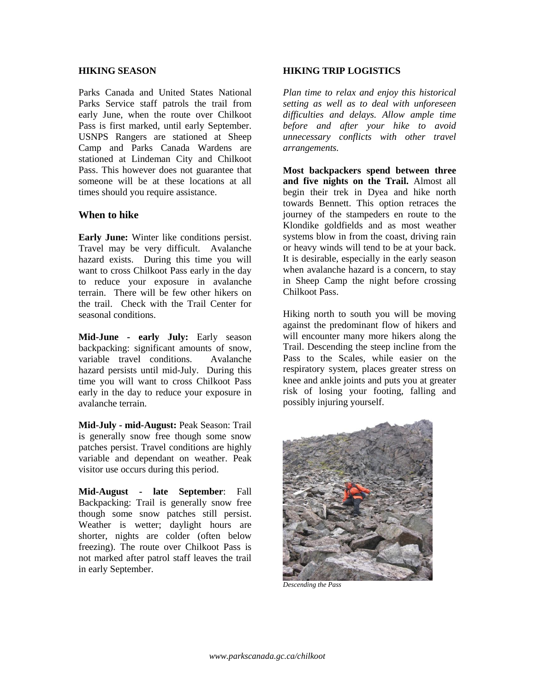#### **HIKING SEASON**

Parks Canada and United States National Parks Service staff patrols the trail from early June, when the route over Chilkoot Pass is first marked, until early September. USNPS Rangers are stationed at Sheep Camp and Parks Canada Wardens are stationed at Lindeman City and Chilkoot Pass. This however does not guarantee that someone will be at these locations at all times should you require assistance.

### **When to hike**

**Early June:** Winter like conditions persist. Travel may be very difficult. Avalanche hazard exists. During this time you will want to cross Chilkoot Pass early in the day to reduce your exposure in avalanche terrain. There will be few other hikers on the trail. Check with the Trail Center for seasonal conditions.

**Mid-June - early July:** Early season backpacking: significant amounts of snow, variable travel conditions. Avalanche hazard persists until mid-July. During this time you will want to cross Chilkoot Pass early in the day to reduce your exposure in avalanche terrain.

**Mid-July - mid-August:** Peak Season: Trail is generally snow free though some snow patches persist. Travel conditions are highly variable and dependant on weather. Peak visitor use occurs during this period.

**Mid-August - late September**: Fall Backpacking: Trail is generally snow free though some snow patches still persist. Weather is wetter; daylight hours are shorter, nights are colder (often below freezing). The route over Chilkoot Pass is not marked after patrol staff leaves the trail in early September.

### **HIKING TRIP LOGISTICS**

*Plan time to relax and enjoy this historical setting as well as to deal with unforeseen difficulties and delays. Allow ample time before and after your hike to avoid unnecessary conflicts with other travel arrangements.* 

**Most backpackers spend between three and five nights on the Trail.** Almost all begin their trek in Dyea and hike north towards Bennett. This option retraces the journey of the stampeders en route to the Klondike goldfields and as most weather systems blow in from the coast, driving rain or heavy winds will tend to be at your back. It is desirable, especially in the early season when avalanche hazard is a concern, to stay in Sheep Camp the night before crossing Chilkoot Pass.

Hiking north to south you will be moving against the predominant flow of hikers and will encounter many more hikers along the Trail. Descending the steep incline from the Pass to the Scales, while easier on the respiratory system, places greater stress on knee and ankle joints and puts you at greater risk of losing your footing, falling and possibly injuring yourself.



*Descending the Pass*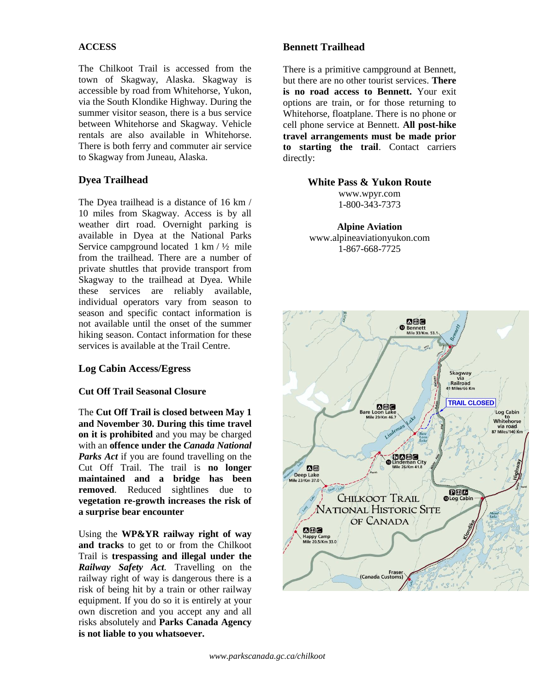# **ACCESS**

The Chilkoot Trail is accessed from the town of Skagway, Alaska. Skagway is accessible by road from Whitehorse, Yukon, via the South Klondike Highway. During the summer visitor season, there is a bus service between Whitehorse and Skagway. Vehicle rentals are also available in Whitehorse. There is both ferry and commuter air service to Skagway from Juneau, Alaska.

# **Dyea Trailhead**

The Dyea trailhead is a distance of 16 km / 10 miles from Skagway. Access is by all weather dirt road. Overnight parking is available in Dyea at the National Parks Service campground located  $1 \text{ km} / \frac{1}{2}$  mile from the trailhead. There are a number of private shuttles that provide transport from Skagway to the trailhead at Dyea. While these services are reliably available, individual operators vary from season to season and specific contact information is not available until the onset of the summer hiking season. Contact information for these services is available at the Trail Centre.

# **Log Cabin Access/Egress**

# **Cut Off Trail Seasonal Closure**

The **Cut Off Trail is closed between May 1 and November 30. During this time travel on it is prohibited** and you may be charged with an **offence under the** *Canada National Parks Act* if you are found travelling on the Cut Off Trail. The trail is **no longer maintained and a bridge has been removed**. Reduced sightlines due to **vegetation re-growth increases the risk of a surprise bear encounter**

Using the **WP&YR railway right of way and tracks** to get to or from the Chilkoot Trail is **trespassing and illegal under the**  *Railway Safety Act.* Travelling on the railway right of way is dangerous there is a risk of being hit by a train or other railway equipment. If you do so it is entirely at your own discretion and you accept any and all risks absolutely and **Parks Canada Agency is not liable to you whatsoever.** 

# **Bennett Trailhead**

There is a primitive campground at Bennett, but there are no other tourist services. **There is no road access to Bennett.** Your exit options are train, or for those returning to Whitehorse, floatplane. There is no phone or cell phone service at Bennett. **All post-hike travel arrangements must be made prior to starting the trail**. Contact carriers directly:

### **White Pass & Yukon Route**

www.wpyr.com 1-800-343-7373

**Alpine Aviation** www.alpineaviationyukon.com 1-867-668-7725

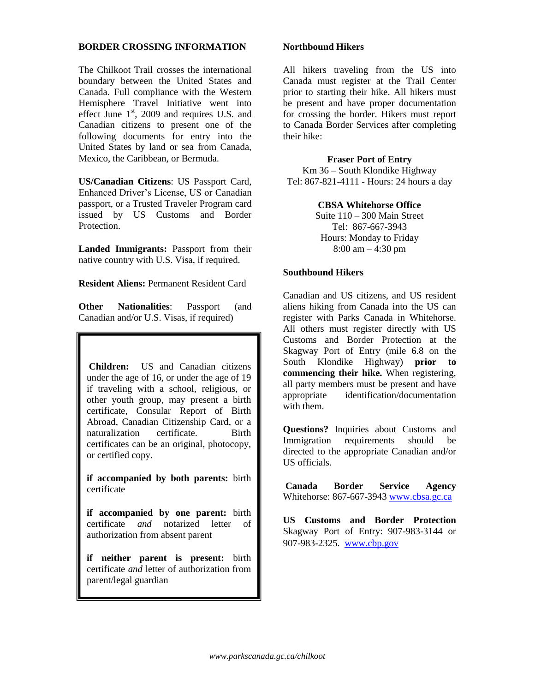### **BORDER CROSSING INFORMATION**

The Chilkoot Trail crosses the international boundary between the United States and Canada. Full compliance with the Western Hemisphere Travel Initiative went into effect June  $1<sup>st</sup>$ , 2009 and requires U.S. and Canadian citizens to present one of the following documents for entry into the United States by land or sea from Canada, Mexico, the Caribbean, or Bermuda.

**US/Canadian Citizens**: US Passport Card, Enhanced Driver's License, US or Canadian passport, or a Trusted Traveler Program card issued by US Customs and Border Protection.

**Landed Immigrants:** Passport from their native country with U.S. Visa, if required.

**Resident Aliens:** Permanent Resident Card

**Other Nationalities**: Passport (and Canadian and/or U.S. Visas, if required)

**Children:** US and Canadian citizens under the age of 16, or under the age of 19 if traveling with a school, religious, or other youth group, may present a birth certificate, Consular Report of Birth Abroad, Canadian Citizenship Card, or a naturalization certificate. Birth certificates can be an original, photocopy, or certified copy.

**if accompanied by both parents:** birth certificate

**if accompanied by one parent:** birth certificate *and* notarized letter of authorization from absent parent

**if neither parent is present:** birth certificate *and* letter of authorization from parent/legal guardian

### **Northbound Hikers**

All hikers traveling from the US into Canada must register at the Trail Center prior to starting their hike. All hikers must be present and have proper documentation for crossing the border. Hikers must report to Canada Border Services after completing their hike:

**Fraser Port of Entry**

Km 36 – South Klondike Highway Tel: 867-821-4111 - Hours: 24 hours a day

**CBSA Whitehorse Office**

Suite 110 – 300 Main Street Tel: 867-667-3943 Hours: Monday to Friday 8:00 am – 4:30 pm

# **Southbound Hikers**

Canadian and US citizens, and US resident aliens hiking from Canada into the US can register with Parks Canada in Whitehorse. All others must register directly with US Customs and Border Protection at the Skagway Port of Entry (mile 6.8 on the South Klondike Highway) **prior to commencing their hike.** When registering, all party members must be present and have appropriate identification/documentation with them.

**Questions?** Inquiries about Customs and Immigration requirements should be directed to the appropriate Canadian and/or US officials.

**Canada Border Service Agency** Whitehorse: 867-667-3943 [www.cbsa.gc.ca](http://www.cbsa.gc.ca/)

**US Customs and Border Protection** Skagway Port of Entry: 907-983-3144 or 907-983-2325. [www.cbp.gov](http://www.cbp.gov/)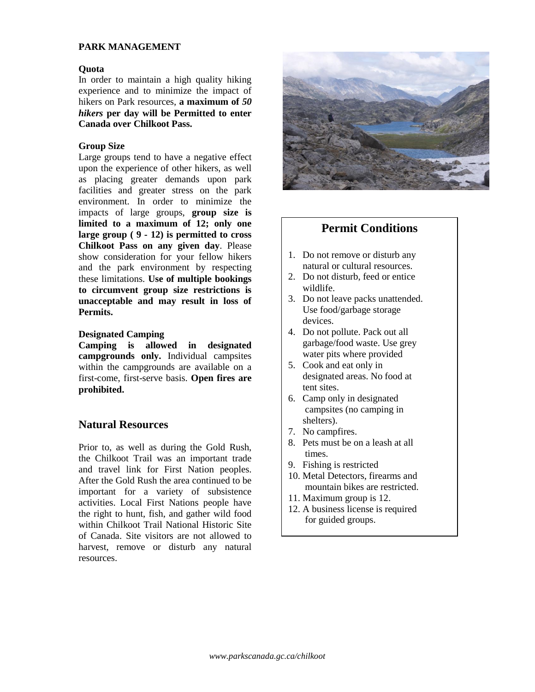### **PARK MANAGEMENT**

### **Quota**

In order to maintain a high quality hiking experience and to minimize the impact of hikers on Park resources, **a maximum of** *50 hikers* **per day will be Permitted to enter Canada over Chilkoot Pass.**

### **Group Size**

Large groups tend to have a negative effect upon the experience of other hikers, as well as placing greater demands upon park facilities and greater stress on the park environment. In order to minimize the impacts of large groups, **group size is limited to a maximum of 12; only one large group ( 9 - 12) is permitted to cross Chilkoot Pass on any given day**. Please show consideration for your fellow hikers and the park environment by respecting these limitations. **Use of multiple bookings to circumvent group size restrictions is unacceptable and may result in loss of Permits.**

### **Designated Camping**

**Camping is allowed in designated campgrounds only.** Individual campsites within the campgrounds are available on a first-come, first-serve basis. **Open fires are prohibited.**

# **Natural Resources**

Prior to, as well as during the Gold Rush, the Chilkoot Trail was an important trade and travel link for First Nation peoples. After the Gold Rush the area continued to be important for a variety of subsistence activities. Local First Nations people have the right to hunt, fish, and gather wild food within Chilkoot Trail National Historic Site of Canada. Site visitors are not allowed to harvest, remove or disturb any natural resources.



# **Permit Conditions**

- 1. Do not remove or disturb any natural or cultural resources.
- 2. Do not disturb, feed or entice wildlife.
- 3. Do not leave packs unattended. Use food/garbage storage devices.
- 4. Do not pollute. Pack out all garbage/food waste. Use grey water pits where provided
- 5. Cook and eat only in designated areas. No food at tent sites.
- 6. Camp only in designated campsites (no camping in shelters).
- 7. No campfires.
- 8. Pets must be on a leash at all times.
- 9. Fishing is restricted
- 10. Metal Detectors, firearms and mountain bikes are restricted.
- 11. Maximum group is 12.
- 12. A business license is required for guided groups.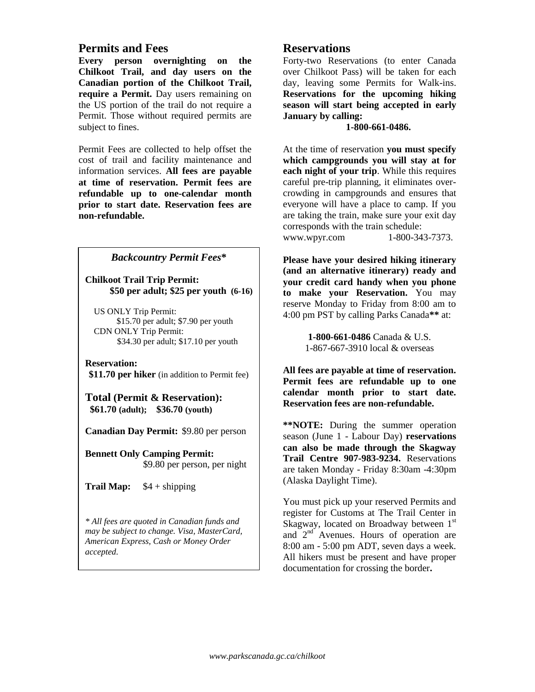# **Permits and Fees**

**Every person overnighting on the Chilkoot Trail, and day users on the Canadian portion of the Chilkoot Trail, require a Permit.** Day users remaining on the US portion of the trail do not require a Permit. Those without required permits are subject to fines.

Permit Fees are collected to help offset the cost of trail and facility maintenance and information services. **All fees are payable at time of reservation. Permit fees are refundable up to one-calendar month prior to start date. Reservation fees are non-refundable.** 

# *Backcountry Permit Fees***\***

**Chilkoot Trail Trip Permit: \$50 per adult; \$25 per youth (6-16)** 

 US ONLY Trip Permit: \$15.70 per adult; \$7.90 per youth CDN ONLY Trip Permit: \$34.30 per adult; \$17.10 per youth

**Reservation: \$11.70 per hiker** (in addition to Permit fee)

**Total (Permit & Reservation): \$61.70 (adult); \$36.70 (youth)**

**Canadian Day Permit:** \$9.80 per person

**Bennett Only Camping Permit:** \$9.80 per person, per night

**Trail Map:** \$4 + shipping

*\* All fees are quoted in Canadian funds and may be subject to change. Visa, MasterCard, American Express, Cash or Money Order accepted.*

# **Reservations**

Forty-two Reservations (to enter Canada over Chilkoot Pass) will be taken for each day, leaving some Permits for Walk-ins. **Reservations for the upcoming hiking season will start being accepted in early January by calling:** 

# **1-800-661-0486.**

At the time of reservation **you must specify which campgrounds you will stay at for each night of your trip**. While this requires careful pre-trip planning, it eliminates overcrowding in campgrounds and ensures that everyone will have a place to camp. If you are taking the train, make sure your exit day corresponds with the train schedule: [www.wpyr.com](http://www.whitepassrailroad.com/) 1-800-343-7373.

**Please have your desired hiking itinerary (and an alternative itinerary) ready and your credit card handy when you phone to make your Reservation.** You may reserve Monday to Friday from 8:00 am to 4:00 pm PST by calling Parks Canada**\*\*** at:

> **1-800-661-0486** Canada & U.S. 1-867-667-3910 local & overseas

**All fees are payable at time of reservation. Permit fees are refundable up to one calendar month prior to start date. Reservation fees are non-refundable.** 

**\*\*NOTE:** During the summer operation season (June 1 - Labour Day) **reservations can also be made through the Skagway Trail Centre 907-983-9234.** Reservations are taken Monday - Friday 8:30am -4:30pm (Alaska Daylight Time).

You must pick up your reserved Permits and register for Customs at The Trail Center in Skagway, located on Broadway between  $1<sup>st</sup>$ and  $2<sup>nd</sup>$  Avenues. Hours of operation are 8:00 am - 5:00 pm ADT, seven days a week. All hikers must be present and have proper documentation for crossing the border**.**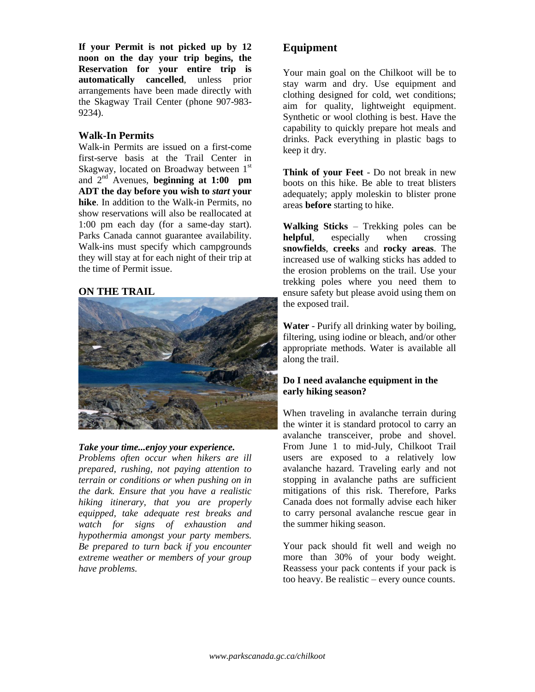**If your Permit is not picked up by 12 noon on the day your trip begins, the Reservation for your entire trip is automatically cancelled**, unless prior arrangements have been made directly with the Skagway Trail Center (phone 907-983- 9234).

# **Walk-In Permits**

Walk-in Permits are issued on a first-come first-serve basis at the Trail Center in Skagway, located on Broadway between  $1<sup>st</sup>$ and 2nd Avenues, **beginning at 1:00 pm ADT the day before you wish to** *start* **your hike**. In addition to the Walk-in Permits, no show reservations will also be reallocated at 1:00 pm each day (for a same-day start). Parks Canada cannot guarantee availability. Walk-ins must specify which campgrounds they will stay at for each night of their trip at the time of Permit issue.

# **ON THE TRAIL**



# *Take your time...enjoy your experience.*

*Problems often occur when hikers are ill prepared, rushing, not paying attention to terrain or conditions or when pushing on in the dark. Ensure that you have a realistic hiking itinerary, that you are properly equipped, take adequate rest breaks and watch for signs of exhaustion and hypothermia amongst your party members. Be prepared to turn back if you encounter extreme weather or members of your group have problems.*

# **Equipment**

Your main goal on the Chilkoot will be to stay warm and dry. Use equipment and clothing designed for cold, wet conditions; aim for quality, lightweight equipment. Synthetic or wool clothing is best. Have the capability to quickly prepare hot meals and drinks. Pack everything in plastic bags to keep it dry.

**Think of your Feet** - Do not break in new boots on this hike. Be able to treat blisters adequately; apply moleskin to blister prone areas **before** starting to hike.

**Walking Sticks** – Trekking poles can be **helpful**, especially when crossing **snowfields**, **creeks** and **rocky areas**. The increased use of walking sticks has added to the erosion problems on the trail. Use your trekking poles where you need them to ensure safety but please avoid using them on the exposed trail.

**Water** - Purify all drinking water by boiling, filtering, using iodine or bleach, and/or other appropriate methods. Water is available all along the trail.

# **Do I need avalanche equipment in the early hiking season?**

When traveling in avalanche terrain during the winter it is standard protocol to carry an avalanche transceiver, probe and shovel. From June 1 to mid-July, Chilkoot Trail users are exposed to a relatively low avalanche hazard. Traveling early and not stopping in avalanche paths are sufficient mitigations of this risk. Therefore, Parks Canada does not formally advise each hiker to carry personal avalanche rescue gear in the summer hiking season.

Your pack should fit well and weigh no more than 30% of your body weight. Reassess your pack contents if your pack is too heavy. Be realistic – every ounce counts.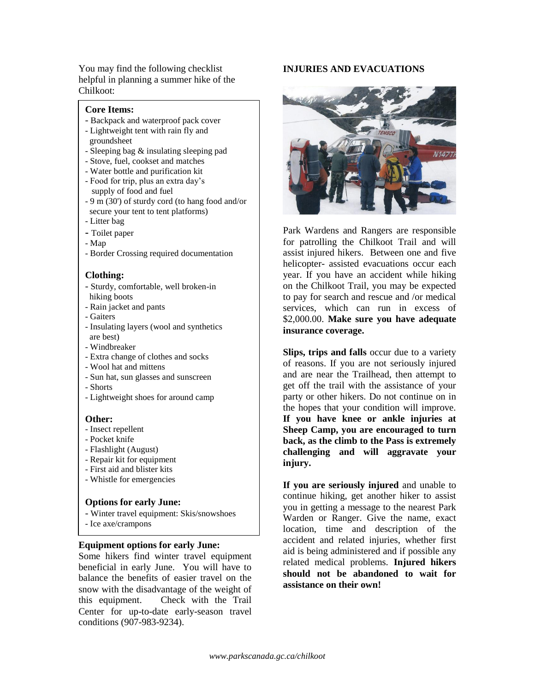You may find the following checklist helpful in planning a summer hike of the Chilkoot<sup>\*</sup>

### **Core Items:**

- Backpack and waterproof pack cover
- Lightweight tent with rain fly and groundsheet
- Sleeping bag & insulating sleeping pad
- Stove, fuel, cookset and matches
- Water bottle and purification kit
- Food for trip, plus an extra day's supply of food and fuel
- 9 m (30') of sturdy cord (to hang food and/or secure your tent to tent platforms)
- Litter bag
- **-** Toilet paper
- Map
- Border Crossing required documentation

### **Clothing:**

- Sturdy, comfortable, well broken-in hiking boots
- Rain jacket and pants
- Gaiters
- Insulating layers (wool and synthetics are best)
- Windbreaker
- Extra change of clothes and socks
- Wool hat and mittens
- Sun hat, sun glasses and sunscreen
- Shorts
- Lightweight shoes for around camp

### **Other:**

- Insect repellent
- Pocket knife
- Flashlight (August)
- Repair kit for equipment
- First aid and blister kits
- Whistle for emergencies

### **Options for early June:**

- Winter travel equipment: Skis/snowshoes
- Ice axe/crampons

### **Equipment options for early June:**

Some hikers find winter travel equipment beneficial in early June. You will have to balance the benefits of easier travel on the snow with the disadvantage of the weight of this equipment. Check with the Trail Center for up-to-date early-season travel conditions (907-983-9234).

### **INJURIES AND EVACUATIONS**



Park Wardens and Rangers are responsible for patrolling the Chilkoot Trail and will assist injured hikers. Between one and five helicopter- assisted evacuations occur each year. If you have an accident while hiking on the Chilkoot Trail, you may be expected to pay for search and rescue and /or medical services, which can run in excess of \$2,000.00. **Make sure you have adequate insurance coverage.**

**Slips, trips and falls** occur due to a variety of reasons. If you are not seriously injured and are near the Trailhead, then attempt to get off the trail with the assistance of your party or other hikers. Do not continue on in the hopes that your condition will improve. **If you have knee or ankle injuries at Sheep Camp, you are encouraged to turn back, as the climb to the Pass is extremely challenging and will aggravate your injury.**

**If you are seriously injured** and unable to continue hiking, get another hiker to assist you in getting a message to the nearest Park Warden or Ranger. Give the name, exact location, time and description of the accident and related injuries, whether first aid is being administered and if possible any related medical problems. **Injured hikers should not be abandoned to wait for assistance on their own!**